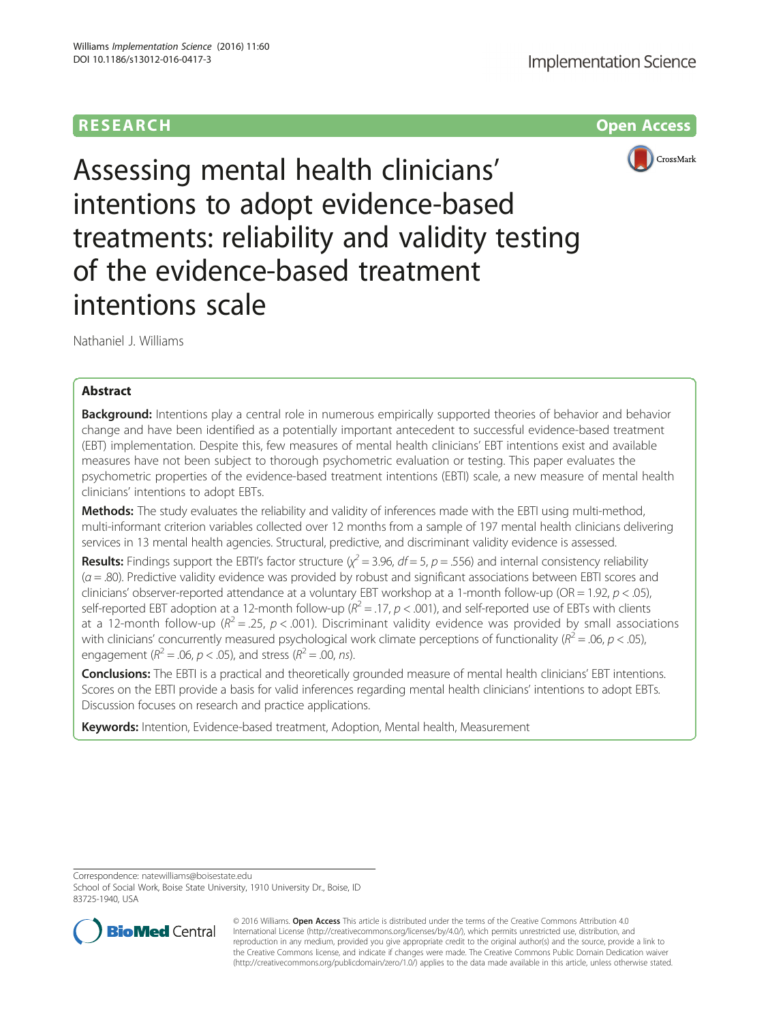## **RESEARCH CHILD CONTROL** CONTROL CONTROL CONTROL CONTROL CONTROL CONTROL CONTROL CONTROL CONTROL CONTROL CONTROL CONTROL CONTROL CONTROL CONTROL CONTROL CONTROL CONTROL CONTROL CONTROL CONTROL CONTROL CONTROL CONTROL CONTR



Assessing mental health clinicians' intentions to adopt evidence-based treatments: reliability and validity testing of the evidence-based treatment intentions scale

Nathaniel J. Williams

## Abstract

Background: Intentions play a central role in numerous empirically supported theories of behavior and behavior change and have been identified as a potentially important antecedent to successful evidence-based treatment (EBT) implementation. Despite this, few measures of mental health clinicians' EBT intentions exist and available measures have not been subject to thorough psychometric evaluation or testing. This paper evaluates the psychometric properties of the evidence-based treatment intentions (EBTI) scale, a new measure of mental health clinicians' intentions to adopt EBTs.

Methods: The study evaluates the reliability and validity of inferences made with the EBTI using multi-method, multi-informant criterion variables collected over 12 months from a sample of 197 mental health clinicians delivering services in 13 mental health agencies. Structural, predictive, and discriminant validity evidence is assessed.

**Results:** Findings support the EBTI's factor structure  $(\chi^2 = 3.96, df = 5, p = .556)$  and internal consistency reliability  $(a = .80)$ . Predictive validity evidence was provided by robust and significant associations between EBTI scores and clinicians' observer-reported attendance at a voluntary EBT workshop at a 1-month follow-up (OR = 1.92,  $p < .05$ ), self-reported EBT adoption at a 12-month follow-up ( $R^2 = .17$ ,  $p < .001$ ), and self-reported use of EBTs with clients at a 12-month follow-up ( $R^2 = 0.25$ ,  $p < 0.001$ ). Discriminant validity evidence was provided by small associations with clinicians' concurrently measured psychological work climate perceptions of functionality ( $R^2 = .06$ ,  $p < .05$ ), engagement ( $R^2 = .06$ ,  $p < .05$ ), and stress ( $R^2 = .00$ , ns).

Conclusions: The EBTI is a practical and theoretically grounded measure of mental health clinicians' EBT intentions. Scores on the EBTI provide a basis for valid inferences regarding mental health clinicians' intentions to adopt EBTs. Discussion focuses on research and practice applications.

Keywords: Intention, Evidence-based treatment, Adoption, Mental health, Measurement

Correspondence: [natewilliams@boisestate.edu](mailto:natewilliams@boisestate.edu)

School of Social Work, Boise State University, 1910 University Dr., Boise, ID 83725-1940, USA



© 2016 Williams. Open Access This article is distributed under the terms of the Creative Commons Attribution 4.0 International License [\(http://creativecommons.org/licenses/by/4.0/](http://creativecommons.org/licenses/by/4.0/)), which permits unrestricted use, distribution, and reproduction in any medium, provided you give appropriate credit to the original author(s) and the source, provide a link to the Creative Commons license, and indicate if changes were made. The Creative Commons Public Domain Dedication waiver [\(http://creativecommons.org/publicdomain/zero/1.0/](http://creativecommons.org/publicdomain/zero/1.0/)) applies to the data made available in this article, unless otherwise stated.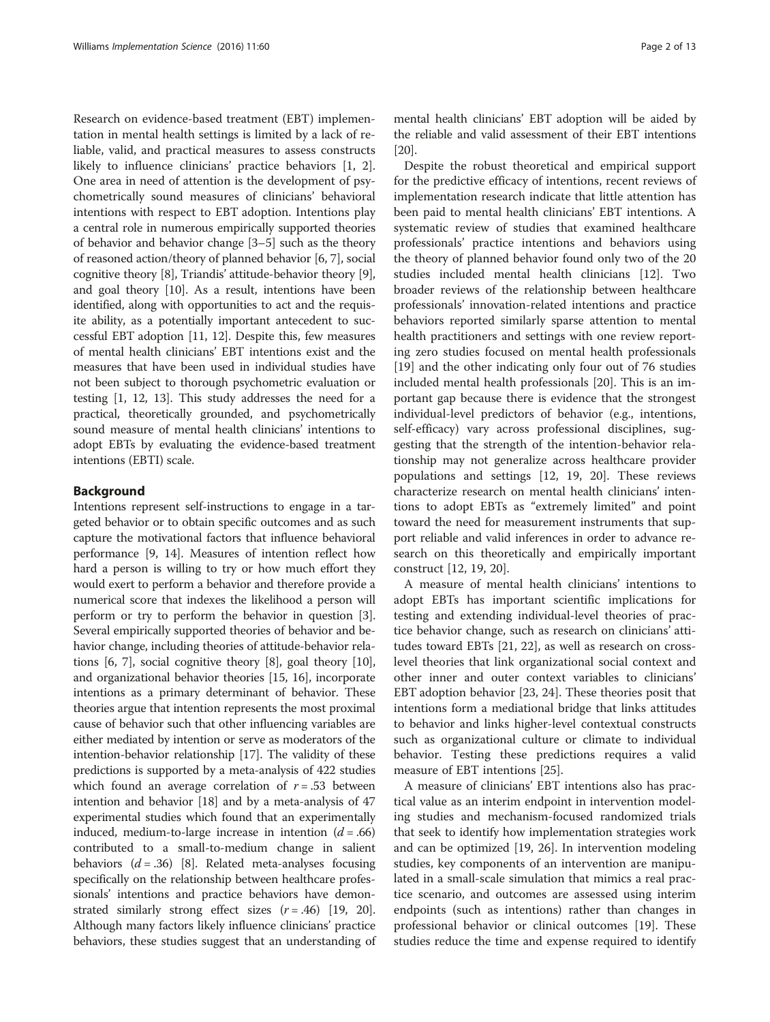Research on evidence-based treatment (EBT) implementation in mental health settings is limited by a lack of reliable, valid, and practical measures to assess constructs likely to influence clinicians' practice behaviors [\[1](#page-11-0), [2](#page-11-0)]. One area in need of attention is the development of psychometrically sound measures of clinicians' behavioral intentions with respect to EBT adoption. Intentions play a central role in numerous empirically supported theories of behavior and behavior change [[3](#page-11-0)–[5](#page-11-0)] such as the theory of reasoned action/theory of planned behavior [\[6](#page-11-0), [7\]](#page-11-0), social cognitive theory [\[8](#page-11-0)], Triandis' attitude-behavior theory [[9](#page-11-0)], and goal theory [[10](#page-11-0)]. As a result, intentions have been identified, along with opportunities to act and the requisite ability, as a potentially important antecedent to successful EBT adoption [[11](#page-11-0), [12\]](#page-11-0). Despite this, few measures of mental health clinicians' EBT intentions exist and the measures that have been used in individual studies have not been subject to thorough psychometric evaluation or testing [\[1, 12](#page-11-0), [13](#page-11-0)]. This study addresses the need for a practical, theoretically grounded, and psychometrically sound measure of mental health clinicians' intentions to adopt EBTs by evaluating the evidence-based treatment intentions (EBTI) scale.

## Background

Intentions represent self-instructions to engage in a targeted behavior or to obtain specific outcomes and as such capture the motivational factors that influence behavioral performance [\[9](#page-11-0), [14\]](#page-11-0). Measures of intention reflect how hard a person is willing to try or how much effort they would exert to perform a behavior and therefore provide a numerical score that indexes the likelihood a person will perform or try to perform the behavior in question [[3](#page-11-0)]. Several empirically supported theories of behavior and behavior change, including theories of attitude-behavior relations [[6](#page-11-0), [7](#page-11-0)], social cognitive theory [\[8](#page-11-0)], goal theory [[10](#page-11-0)], and organizational behavior theories [[15, 16\]](#page-11-0), incorporate intentions as a primary determinant of behavior. These theories argue that intention represents the most proximal cause of behavior such that other influencing variables are either mediated by intention or serve as moderators of the intention-behavior relationship [\[17\]](#page-11-0). The validity of these predictions is supported by a meta-analysis of 422 studies which found an average correlation of  $r = .53$  between intention and behavior [\[18\]](#page-11-0) and by a meta-analysis of 47 experimental studies which found that an experimentally induced, medium-to-large increase in intention  $(d = .66)$ contributed to a small-to-medium change in salient behaviors  $(d = .36)$  [\[8\]](#page-11-0). Related meta-analyses focusing specifically on the relationship between healthcare professionals' intentions and practice behaviors have demonstrated similarly strong effect sizes  $(r = .46)$  [\[19, 20](#page-11-0)]. Although many factors likely influence clinicians' practice behaviors, these studies suggest that an understanding of mental health clinicians' EBT adoption will be aided by the reliable and valid assessment of their EBT intentions [[20](#page-11-0)].

Despite the robust theoretical and empirical support for the predictive efficacy of intentions, recent reviews of implementation research indicate that little attention has been paid to mental health clinicians' EBT intentions. A systematic review of studies that examined healthcare professionals' practice intentions and behaviors using the theory of planned behavior found only two of the 20 studies included mental health clinicians [[12\]](#page-11-0). Two broader reviews of the relationship between healthcare professionals' innovation-related intentions and practice behaviors reported similarly sparse attention to mental health practitioners and settings with one review reporting zero studies focused on mental health professionals [[19\]](#page-11-0) and the other indicating only four out of 76 studies included mental health professionals [[20\]](#page-11-0). This is an important gap because there is evidence that the strongest individual-level predictors of behavior (e.g., intentions, self-efficacy) vary across professional disciplines, suggesting that the strength of the intention-behavior relationship may not generalize across healthcare provider populations and settings [\[12](#page-11-0), [19](#page-11-0), [20](#page-11-0)]. These reviews characterize research on mental health clinicians' intentions to adopt EBTs as "extremely limited" and point toward the need for measurement instruments that support reliable and valid inferences in order to advance research on this theoretically and empirically important construct [\[12](#page-11-0), [19, 20\]](#page-11-0).

A measure of mental health clinicians' intentions to adopt EBTs has important scientific implications for testing and extending individual-level theories of practice behavior change, such as research on clinicians' attitudes toward EBTs [\[21](#page-11-0), [22](#page-11-0)], as well as research on crosslevel theories that link organizational social context and other inner and outer context variables to clinicians' EBT adoption behavior [[23](#page-11-0), [24](#page-11-0)]. These theories posit that intentions form a mediational bridge that links attitudes to behavior and links higher-level contextual constructs such as organizational culture or climate to individual behavior. Testing these predictions requires a valid measure of EBT intentions [[25\]](#page-11-0).

A measure of clinicians' EBT intentions also has practical value as an interim endpoint in intervention modeling studies and mechanism-focused randomized trials that seek to identify how implementation strategies work and can be optimized [[19, 26](#page-11-0)]. In intervention modeling studies, key components of an intervention are manipulated in a small-scale simulation that mimics a real practice scenario, and outcomes are assessed using interim endpoints (such as intentions) rather than changes in professional behavior or clinical outcomes [\[19\]](#page-11-0). These studies reduce the time and expense required to identify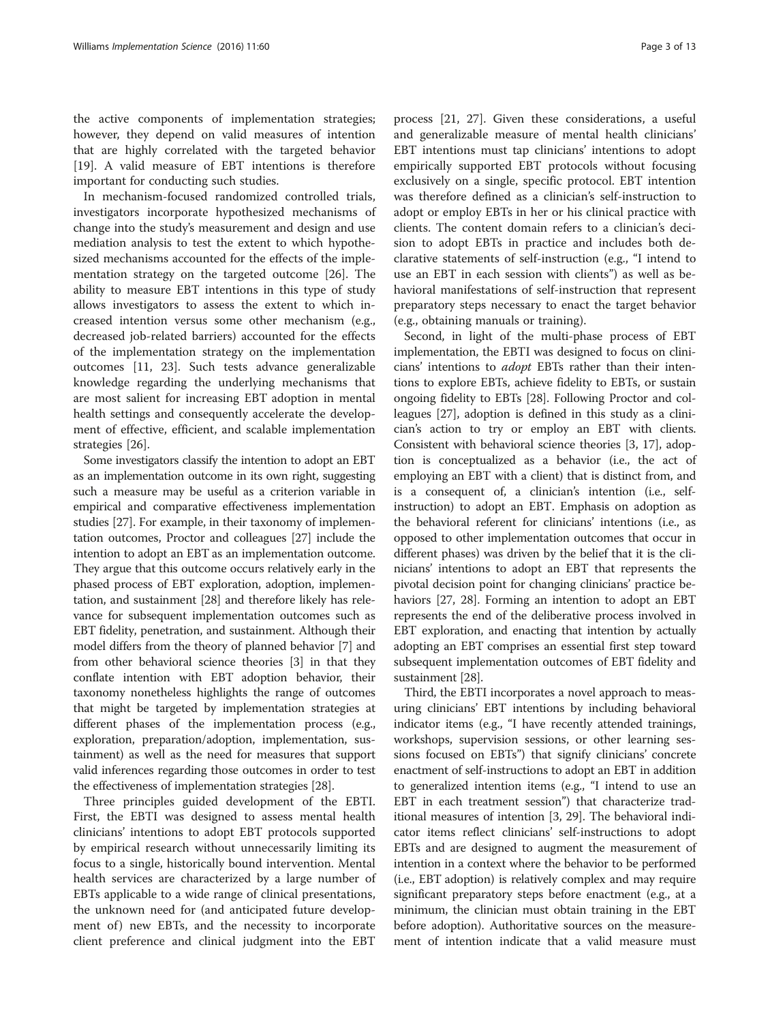the active components of implementation strategies; however, they depend on valid measures of intention that are highly correlated with the targeted behavior [[19\]](#page-11-0). A valid measure of EBT intentions is therefore important for conducting such studies.

In mechanism-focused randomized controlled trials, investigators incorporate hypothesized mechanisms of change into the study's measurement and design and use mediation analysis to test the extent to which hypothesized mechanisms accounted for the effects of the implementation strategy on the targeted outcome [\[26](#page-11-0)]. The ability to measure EBT intentions in this type of study allows investigators to assess the extent to which increased intention versus some other mechanism (e.g., decreased job-related barriers) accounted for the effects of the implementation strategy on the implementation outcomes [[11, 23](#page-11-0)]. Such tests advance generalizable knowledge regarding the underlying mechanisms that are most salient for increasing EBT adoption in mental health settings and consequently accelerate the development of effective, efficient, and scalable implementation strategies [[26\]](#page-11-0).

Some investigators classify the intention to adopt an EBT as an implementation outcome in its own right, suggesting such a measure may be useful as a criterion variable in empirical and comparative effectiveness implementation studies [\[27\]](#page-11-0). For example, in their taxonomy of implementation outcomes, Proctor and colleagues [\[27\]](#page-11-0) include the intention to adopt an EBT as an implementation outcome. They argue that this outcome occurs relatively early in the phased process of EBT exploration, adoption, implementation, and sustainment [\[28\]](#page-11-0) and therefore likely has relevance for subsequent implementation outcomes such as EBT fidelity, penetration, and sustainment. Although their model differs from the theory of planned behavior [[7\]](#page-11-0) and from other behavioral science theories [\[3\]](#page-11-0) in that they conflate intention with EBT adoption behavior, their taxonomy nonetheless highlights the range of outcomes that might be targeted by implementation strategies at different phases of the implementation process (e.g., exploration, preparation/adoption, implementation, sustainment) as well as the need for measures that support valid inferences regarding those outcomes in order to test the effectiveness of implementation strategies [[28\]](#page-11-0).

Three principles guided development of the EBTI. First, the EBTI was designed to assess mental health clinicians' intentions to adopt EBT protocols supported by empirical research without unnecessarily limiting its focus to a single, historically bound intervention. Mental health services are characterized by a large number of EBTs applicable to a wide range of clinical presentations, the unknown need for (and anticipated future development of) new EBTs, and the necessity to incorporate client preference and clinical judgment into the EBT

process [[21](#page-11-0), [27\]](#page-11-0). Given these considerations, a useful and generalizable measure of mental health clinicians' EBT intentions must tap clinicians' intentions to adopt empirically supported EBT protocols without focusing exclusively on a single, specific protocol. EBT intention was therefore defined as a clinician's self-instruction to adopt or employ EBTs in her or his clinical practice with clients. The content domain refers to a clinician's decision to adopt EBTs in practice and includes both declarative statements of self-instruction (e.g., "I intend to use an EBT in each session with clients") as well as behavioral manifestations of self-instruction that represent preparatory steps necessary to enact the target behavior (e.g., obtaining manuals or training).

Second, in light of the multi-phase process of EBT implementation, the EBTI was designed to focus on clinicians' intentions to adopt EBTs rather than their intentions to explore EBTs, achieve fidelity to EBTs, or sustain ongoing fidelity to EBTs [\[28\]](#page-11-0). Following Proctor and colleagues [[27](#page-11-0)], adoption is defined in this study as a clinician's action to try or employ an EBT with clients. Consistent with behavioral science theories [[3, 17\]](#page-11-0), adoption is conceptualized as a behavior (i.e., the act of employing an EBT with a client) that is distinct from, and is a consequent of, a clinician's intention (i.e., selfinstruction) to adopt an EBT. Emphasis on adoption as the behavioral referent for clinicians' intentions (i.e., as opposed to other implementation outcomes that occur in different phases) was driven by the belief that it is the clinicians' intentions to adopt an EBT that represents the pivotal decision point for changing clinicians' practice behaviors [[27](#page-11-0), [28](#page-11-0)]. Forming an intention to adopt an EBT represents the end of the deliberative process involved in EBT exploration, and enacting that intention by actually adopting an EBT comprises an essential first step toward subsequent implementation outcomes of EBT fidelity and sustainment [\[28\]](#page-11-0).

Third, the EBTI incorporates a novel approach to measuring clinicians' EBT intentions by including behavioral indicator items (e.g., "I have recently attended trainings, workshops, supervision sessions, or other learning sessions focused on EBTs") that signify clinicians' concrete enactment of self-instructions to adopt an EBT in addition to generalized intention items (e.g., "I intend to use an EBT in each treatment session") that characterize traditional measures of intention [[3, 29\]](#page-11-0). The behavioral indicator items reflect clinicians' self-instructions to adopt EBTs and are designed to augment the measurement of intention in a context where the behavior to be performed (i.e., EBT adoption) is relatively complex and may require significant preparatory steps before enactment (e.g., at a minimum, the clinician must obtain training in the EBT before adoption). Authoritative sources on the measurement of intention indicate that a valid measure must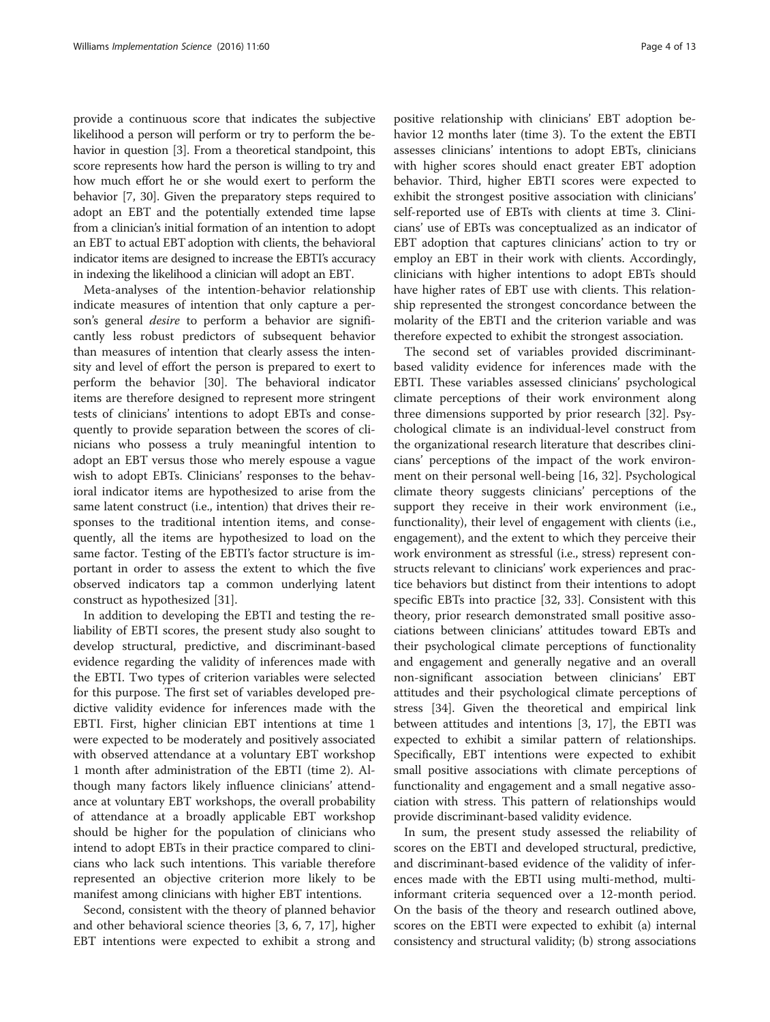provide a continuous score that indicates the subjective likelihood a person will perform or try to perform the behavior in question [[3](#page-11-0)]. From a theoretical standpoint, this score represents how hard the person is willing to try and how much effort he or she would exert to perform the behavior [[7, 30](#page-11-0)]. Given the preparatory steps required to adopt an EBT and the potentially extended time lapse from a clinician's initial formation of an intention to adopt an EBT to actual EBT adoption with clients, the behavioral indicator items are designed to increase the EBTI's accuracy in indexing the likelihood a clinician will adopt an EBT.

Meta-analyses of the intention-behavior relationship indicate measures of intention that only capture a person's general desire to perform a behavior are significantly less robust predictors of subsequent behavior than measures of intention that clearly assess the intensity and level of effort the person is prepared to exert to perform the behavior [[30\]](#page-11-0). The behavioral indicator items are therefore designed to represent more stringent tests of clinicians' intentions to adopt EBTs and consequently to provide separation between the scores of clinicians who possess a truly meaningful intention to adopt an EBT versus those who merely espouse a vague wish to adopt EBTs. Clinicians' responses to the behavioral indicator items are hypothesized to arise from the same latent construct (i.e., intention) that drives their responses to the traditional intention items, and consequently, all the items are hypothesized to load on the same factor. Testing of the EBTI's factor structure is important in order to assess the extent to which the five observed indicators tap a common underlying latent construct as hypothesized [[31](#page-11-0)].

In addition to developing the EBTI and testing the reliability of EBTI scores, the present study also sought to develop structural, predictive, and discriminant-based evidence regarding the validity of inferences made with the EBTI. Two types of criterion variables were selected for this purpose. The first set of variables developed predictive validity evidence for inferences made with the EBTI. First, higher clinician EBT intentions at time 1 were expected to be moderately and positively associated with observed attendance at a voluntary EBT workshop 1 month after administration of the EBTI (time 2). Although many factors likely influence clinicians' attendance at voluntary EBT workshops, the overall probability of attendance at a broadly applicable EBT workshop should be higher for the population of clinicians who intend to adopt EBTs in their practice compared to clinicians who lack such intentions. This variable therefore represented an objective criterion more likely to be manifest among clinicians with higher EBT intentions.

Second, consistent with the theory of planned behavior and other behavioral science theories [[3, 6, 7](#page-11-0), [17](#page-11-0)], higher EBT intentions were expected to exhibit a strong and

positive relationship with clinicians' EBT adoption behavior 12 months later (time 3). To the extent the EBTI assesses clinicians' intentions to adopt EBTs, clinicians with higher scores should enact greater EBT adoption behavior. Third, higher EBTI scores were expected to exhibit the strongest positive association with clinicians' self-reported use of EBTs with clients at time 3. Clinicians' use of EBTs was conceptualized as an indicator of EBT adoption that captures clinicians' action to try or employ an EBT in their work with clients. Accordingly, clinicians with higher intentions to adopt EBTs should have higher rates of EBT use with clients. This relationship represented the strongest concordance between the molarity of the EBTI and the criterion variable and was therefore expected to exhibit the strongest association.

The second set of variables provided discriminantbased validity evidence for inferences made with the EBTI. These variables assessed clinicians' psychological climate perceptions of their work environment along three dimensions supported by prior research [[32](#page-11-0)]. Psychological climate is an individual-level construct from the organizational research literature that describes clinicians' perceptions of the impact of the work environment on their personal well-being [[16](#page-11-0), [32](#page-11-0)]. Psychological climate theory suggests clinicians' perceptions of the support they receive in their work environment (i.e., functionality), their level of engagement with clients (i.e., engagement), and the extent to which they perceive their work environment as stressful (i.e., stress) represent constructs relevant to clinicians' work experiences and practice behaviors but distinct from their intentions to adopt specific EBTs into practice [\[32](#page-11-0), [33\]](#page-11-0). Consistent with this theory, prior research demonstrated small positive associations between clinicians' attitudes toward EBTs and their psychological climate perceptions of functionality and engagement and generally negative and an overall non-significant association between clinicians' EBT attitudes and their psychological climate perceptions of stress [[34\]](#page-11-0). Given the theoretical and empirical link between attitudes and intentions [\[3, 17](#page-11-0)], the EBTI was expected to exhibit a similar pattern of relationships. Specifically, EBT intentions were expected to exhibit small positive associations with climate perceptions of functionality and engagement and a small negative association with stress. This pattern of relationships would provide discriminant-based validity evidence.

In sum, the present study assessed the reliability of scores on the EBTI and developed structural, predictive, and discriminant-based evidence of the validity of inferences made with the EBTI using multi-method, multiinformant criteria sequenced over a 12-month period. On the basis of the theory and research outlined above, scores on the EBTI were expected to exhibit (a) internal consistency and structural validity; (b) strong associations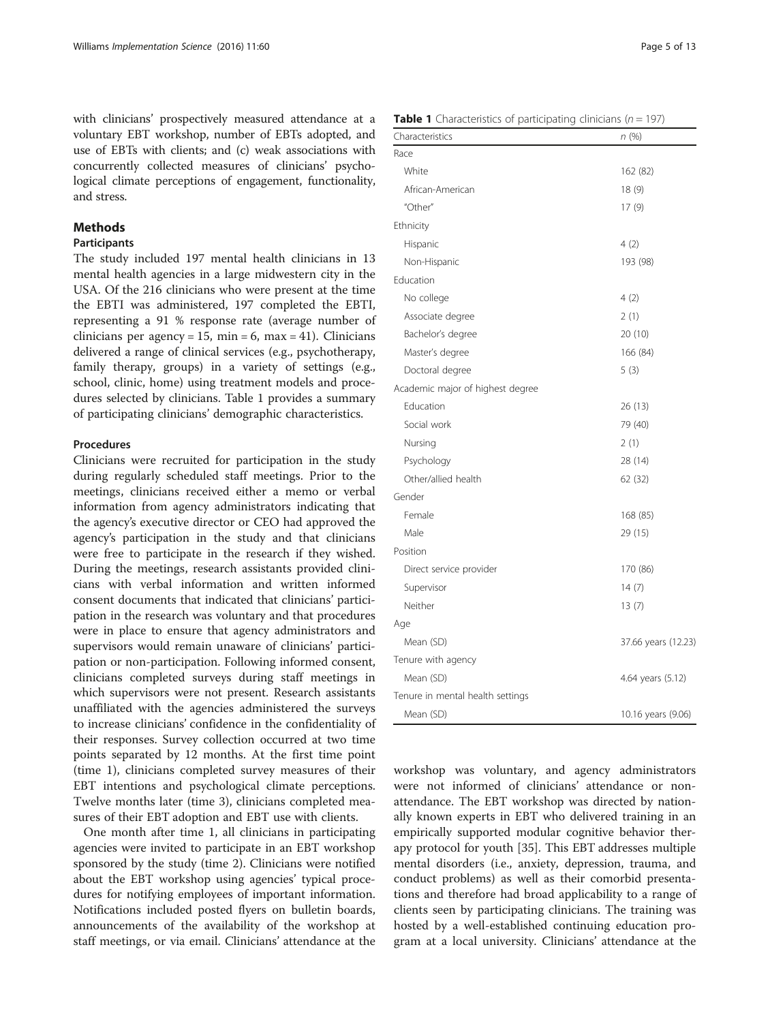with clinicians' prospectively measured attendance at a voluntary EBT workshop, number of EBTs adopted, and use of EBTs with clients; and (c) weak associations with concurrently collected measures of clinicians' psychological climate perceptions of engagement, functionality, and stress.

## Methods

## **Participants**

The study included 197 mental health clinicians in 13 mental health agencies in a large midwestern city in the USA. Of the 216 clinicians who were present at the time the EBTI was administered, 197 completed the EBTI, representing a 91 % response rate (average number of clinicians per agency = 15, min = 6, max = 41). Clinicians delivered a range of clinical services (e.g., psychotherapy, family therapy, groups) in a variety of settings (e.g., school, clinic, home) using treatment models and procedures selected by clinicians. Table 1 provides a summary of participating clinicians' demographic characteristics.

## Procedures

Clinicians were recruited for participation in the study during regularly scheduled staff meetings. Prior to the meetings, clinicians received either a memo or verbal information from agency administrators indicating that the agency's executive director or CEO had approved the agency's participation in the study and that clinicians were free to participate in the research if they wished. During the meetings, research assistants provided clinicians with verbal information and written informed consent documents that indicated that clinicians' participation in the research was voluntary and that procedures were in place to ensure that agency administrators and supervisors would remain unaware of clinicians' participation or non-participation. Following informed consent, clinicians completed surveys during staff meetings in which supervisors were not present. Research assistants unaffiliated with the agencies administered the surveys to increase clinicians' confidence in the confidentiality of their responses. Survey collection occurred at two time points separated by 12 months. At the first time point (time 1), clinicians completed survey measures of their EBT intentions and psychological climate perceptions. Twelve months later (time 3), clinicians completed measures of their EBT adoption and EBT use with clients.

One month after time 1, all clinicians in participating agencies were invited to participate in an EBT workshop sponsored by the study (time 2). Clinicians were notified about the EBT workshop using agencies' typical procedures for notifying employees of important information. Notifications included posted flyers on bulletin boards, announcements of the availability of the workshop at staff meetings, or via email. Clinicians' attendance at the

**Table 1** Characteristics of participating clinicians ( $n = 197$ )

| Characteristics                  | n (%)               |
|----------------------------------|---------------------|
| Race                             |                     |
| White                            | 162 (82)            |
| African-American                 | 18(9)               |
| "Other"                          | 17(9)               |
| Ethnicity                        |                     |
| Hispanic                         | 4(2)                |
| Non-Hispanic                     | 193 (98)            |
| Education                        |                     |
| No college                       | 4(2)                |
| Associate degree                 | 2(1)                |
| Bachelor's degree                | 20 (10)             |
| Master's degree                  | 166 (84)            |
| Doctoral degree                  | 5(3)                |
| Academic major of highest degree |                     |
| Education                        | 26 (13)             |
| Social work                      | 79 (40)             |
| Nursing                          | 2 (1)               |
| Psychology                       | 28 (14)             |
| Other/allied health              | 62 (32)             |
| Gender                           |                     |
| Female                           | 168 (85)            |
| Male                             | 29 (15)             |
| Position                         |                     |
| Direct service provider          | 170 (86)            |
| Supervisor                       | 14(7)               |
| Neither                          | 13(7)               |
| Age                              |                     |
| Mean (SD)                        | 37.66 years (12.23) |
| Tenure with agency               |                     |
| Mean (SD)                        | 4.64 years (5.12)   |
| Tenure in mental health settings |                     |
| Mean (SD)                        | 10.16 years (9.06)  |

workshop was voluntary, and agency administrators were not informed of clinicians' attendance or nonattendance. The EBT workshop was directed by nationally known experts in EBT who delivered training in an empirically supported modular cognitive behavior therapy protocol for youth [\[35](#page-11-0)]. This EBT addresses multiple mental disorders (i.e., anxiety, depression, trauma, and conduct problems) as well as their comorbid presentations and therefore had broad applicability to a range of clients seen by participating clinicians. The training was hosted by a well-established continuing education program at a local university. Clinicians' attendance at the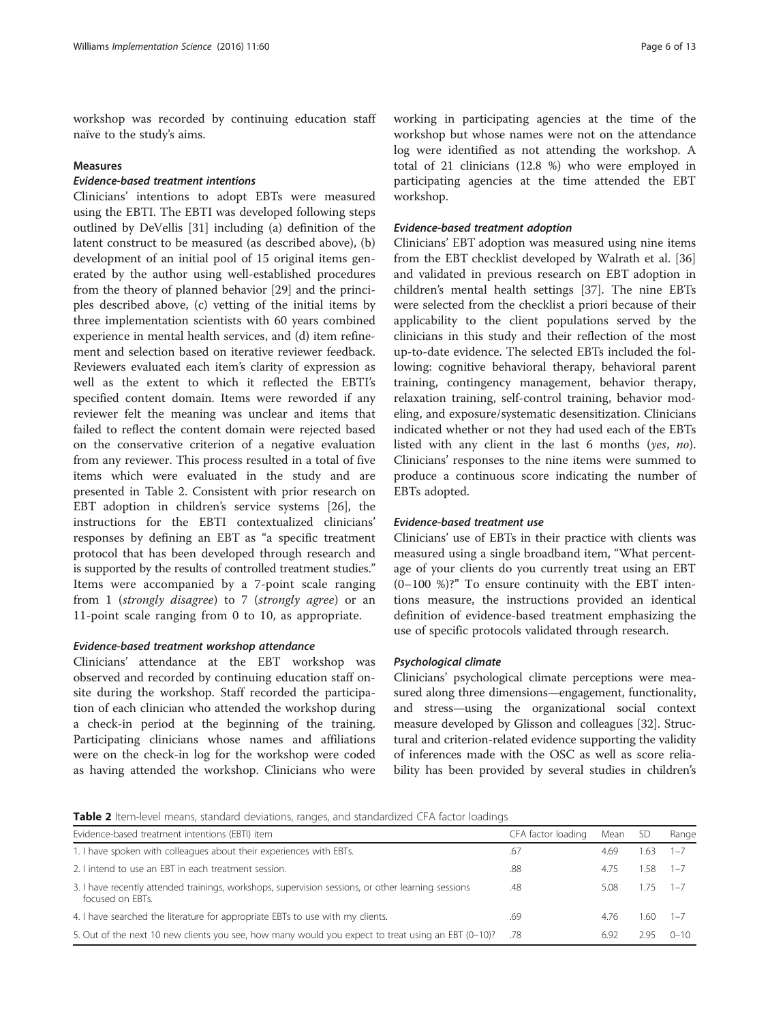<span id="page-5-0"></span>workshop was recorded by continuing education staff naïve to the study's aims.

#### Measures

## Evidence-based treatment intentions

Clinicians' intentions to adopt EBTs were measured using the EBTI. The EBTI was developed following steps outlined by DeVellis [[31\]](#page-11-0) including (a) definition of the latent construct to be measured (as described above), (b) development of an initial pool of 15 original items generated by the author using well-established procedures from the theory of planned behavior [[29\]](#page-11-0) and the principles described above, (c) vetting of the initial items by three implementation scientists with 60 years combined experience in mental health services, and (d) item refinement and selection based on iterative reviewer feedback. Reviewers evaluated each item's clarity of expression as well as the extent to which it reflected the EBTI's specified content domain. Items were reworded if any reviewer felt the meaning was unclear and items that failed to reflect the content domain were rejected based on the conservative criterion of a negative evaluation from any reviewer. This process resulted in a total of five items which were evaluated in the study and are presented in Table 2. Consistent with prior research on EBT adoption in children's service systems [\[26](#page-11-0)], the instructions for the EBTI contextualized clinicians' responses by defining an EBT as "a specific treatment protocol that has been developed through research and is supported by the results of controlled treatment studies." Items were accompanied by a 7-point scale ranging from 1 (strongly disagree) to 7 (strongly agree) or an 11-point scale ranging from 0 to 10, as appropriate.

#### Evidence-based treatment workshop attendance

Clinicians' attendance at the EBT workshop was observed and recorded by continuing education staff onsite during the workshop. Staff recorded the participation of each clinician who attended the workshop during a check-in period at the beginning of the training. Participating clinicians whose names and affiliations were on the check-in log for the workshop were coded as having attended the workshop. Clinicians who were working in participating agencies at the time of the workshop but whose names were not on the attendance log were identified as not attending the workshop. A total of 21 clinicians (12.8 %) who were employed in participating agencies at the time attended the EBT workshop.

### Evidence-based treatment adoption

Clinicians' EBT adoption was measured using nine items from the EBT checklist developed by Walrath et al. [[36](#page-11-0)] and validated in previous research on EBT adoption in children's mental health settings [\[37](#page-11-0)]. The nine EBTs were selected from the checklist a priori because of their applicability to the client populations served by the clinicians in this study and their reflection of the most up-to-date evidence. The selected EBTs included the following: cognitive behavioral therapy, behavioral parent training, contingency management, behavior therapy, relaxation training, self-control training, behavior modeling, and exposure/systematic desensitization. Clinicians indicated whether or not they had used each of the EBTs listed with any client in the last 6 months (yes, no). Clinicians' responses to the nine items were summed to produce a continuous score indicating the number of EBTs adopted.

## Evidence-based treatment use

Clinicians' use of EBTs in their practice with clients was measured using a single broadband item, "What percentage of your clients do you currently treat using an EBT (0–100 %)?" To ensure continuity with the EBT intentions measure, the instructions provided an identical definition of evidence-based treatment emphasizing the use of specific protocols validated through research.

## Psychological climate

Clinicians' psychological climate perceptions were measured along three dimensions—engagement, functionality, and stress—using the organizational social context measure developed by Glisson and colleagues [\[32\]](#page-11-0). Structural and criterion-related evidence supporting the validity of inferences made with the OSC as well as score reliability has been provided by several studies in children's

Table 2 Item-level means, standard deviations, ranges, and standardized CFA factor loadings

| Evidence-based treatment intentions (EBTI) item                                                                        | CFA factor loading | Mean | -SD  | Range      |
|------------------------------------------------------------------------------------------------------------------------|--------------------|------|------|------------|
| 1. I have spoken with colleagues about their experiences with EBTs.                                                    | .67                | 4.69 | -63  | $1 - 7$    |
| 2. Lintend to use an EBT in each treatment session.                                                                    | .88                | 4.75 | 58   | $1 - 7$    |
| 3. I have recently attended trainings, workshops, supervision sessions, or other learning sessions<br>focused on FBTs. | .48                | 5.08 |      | $1 - 7$    |
| 4. I have searched the literature for appropriate EBTs to use with my clients.                                         | .69                | 4.76 | -60  | $1 - \ell$ |
| 5. Out of the next 10 new clients you see, how many would you expect to treat using an EBT (0-10)?                     | .78                | 6.92 | 2 95 | $0 - 10$   |
|                                                                                                                        |                    |      |      |            |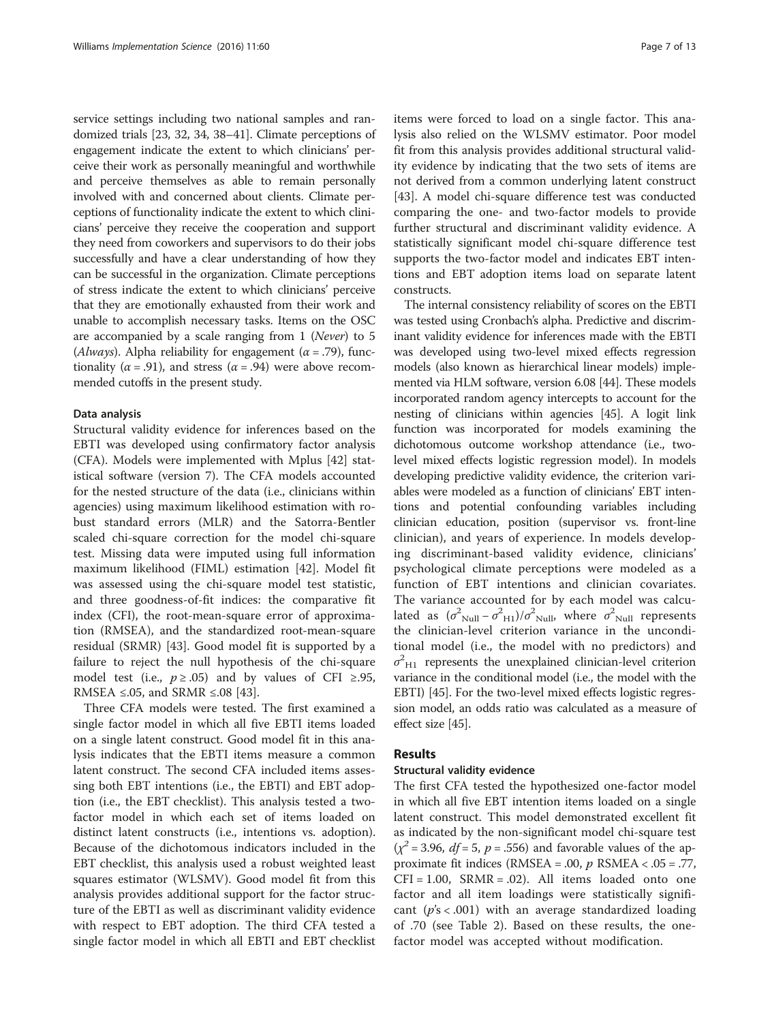service settings including two national samples and randomized trials [\[23, 32, 34,](#page-11-0) [38](#page-12-0)–[41](#page-12-0)]. Climate perceptions of engagement indicate the extent to which clinicians' perceive their work as personally meaningful and worthwhile and perceive themselves as able to remain personally involved with and concerned about clients. Climate perceptions of functionality indicate the extent to which clinicians' perceive they receive the cooperation and support they need from coworkers and supervisors to do their jobs successfully and have a clear understanding of how they can be successful in the organization. Climate perceptions of stress indicate the extent to which clinicians' perceive that they are emotionally exhausted from their work and unable to accomplish necessary tasks. Items on the OSC are accompanied by a scale ranging from 1 (Never) to 5 (Always). Alpha reliability for engagement ( $\alpha$  = .79), functionality ( $\alpha$  = .91), and stress ( $\alpha$  = .94) were above recommended cutoffs in the present study.

#### Data analysis

Structural validity evidence for inferences based on the EBTI was developed using confirmatory factor analysis (CFA). Models were implemented with Mplus [[42\]](#page-12-0) statistical software (version 7). The CFA models accounted for the nested structure of the data (i.e., clinicians within agencies) using maximum likelihood estimation with robust standard errors (MLR) and the Satorra-Bentler scaled chi-square correction for the model chi-square test. Missing data were imputed using full information maximum likelihood (FIML) estimation [[42](#page-12-0)]. Model fit was assessed using the chi-square model test statistic, and three goodness-of-fit indices: the comparative fit index (CFI), the root-mean-square error of approximation (RMSEA), and the standardized root-mean-square residual (SRMR) [[43\]](#page-12-0). Good model fit is supported by a failure to reject the null hypothesis of the chi-square model test (i.e.,  $p \ge 0.05$ ) and by values of CFI ≥.95, RMSEA  $\leq$ .05, and SRMR  $\leq$ .08 [[43\]](#page-12-0).

Three CFA models were tested. The first examined a single factor model in which all five EBTI items loaded on a single latent construct. Good model fit in this analysis indicates that the EBTI items measure a common latent construct. The second CFA included items assessing both EBT intentions (i.e., the EBTI) and EBT adoption (i.e., the EBT checklist). This analysis tested a twofactor model in which each set of items loaded on distinct latent constructs (i.e., intentions vs. adoption). Because of the dichotomous indicators included in the EBT checklist, this analysis used a robust weighted least squares estimator (WLSMV). Good model fit from this analysis provides additional support for the factor structure of the EBTI as well as discriminant validity evidence with respect to EBT adoption. The third CFA tested a single factor model in which all EBTI and EBT checklist

items were forced to load on a single factor. This analysis also relied on the WLSMV estimator. Poor model fit from this analysis provides additional structural validity evidence by indicating that the two sets of items are not derived from a common underlying latent construct [[43\]](#page-12-0). A model chi-square difference test was conducted comparing the one- and two-factor models to provide further structural and discriminant validity evidence. A statistically significant model chi-square difference test supports the two-factor model and indicates EBT intentions and EBT adoption items load on separate latent constructs.

The internal consistency reliability of scores on the EBTI was tested using Cronbach's alpha. Predictive and discriminant validity evidence for inferences made with the EBTI was developed using two-level mixed effects regression models (also known as hierarchical linear models) implemented via HLM software, version 6.08 [\[44](#page-12-0)]. These models incorporated random agency intercepts to account for the nesting of clinicians within agencies [[45](#page-12-0)]. A logit link function was incorporated for models examining the dichotomous outcome workshop attendance (i.e., twolevel mixed effects logistic regression model). In models developing predictive validity evidence, the criterion variables were modeled as a function of clinicians' EBT intentions and potential confounding variables including clinician education, position (supervisor vs. front-line clinician), and years of experience. In models developing discriminant-based validity evidence, clinicians' psychological climate perceptions were modeled as a function of EBT intentions and clinician covariates. The variance accounted for by each model was calculated as  $(\sigma_{\text{Null}}^2 - \sigma_{\text{H1}}^2)/\sigma_{\text{Null}}^2$  where  $\sigma_{\text{Null}}^2$  represents the clinician-level criterion variance in the unconditional model (i.e., the model with no predictors) and  $\sigma^2$ <sub>H1</sub> represents the unexplained clinician-level criterion variance in the conditional model (i.e., the model with the EBTI) [[45](#page-12-0)]. For the two-level mixed effects logistic regression model, an odds ratio was calculated as a measure of effect size [[45](#page-12-0)].

## Results

#### Structural validity evidence

The first CFA tested the hypothesized one-factor model in which all five EBT intention items loaded on a single latent construct. This model demonstrated excellent fit as indicated by the non-significant model chi-square test  $(\chi^2 = 3.96, df = 5, p = .556)$  and favorable values of the approximate fit indices (RMSEA = .00,  $p$  RSMEA < .05 = .77,  $CFI = 1.00$ ,  $SRMR = .02$ ). All items loaded onto one factor and all item loadings were statistically significant  $(p's < .001)$  with an average standardized loading of .70 (see Table [2\)](#page-5-0). Based on these results, the onefactor model was accepted without modification.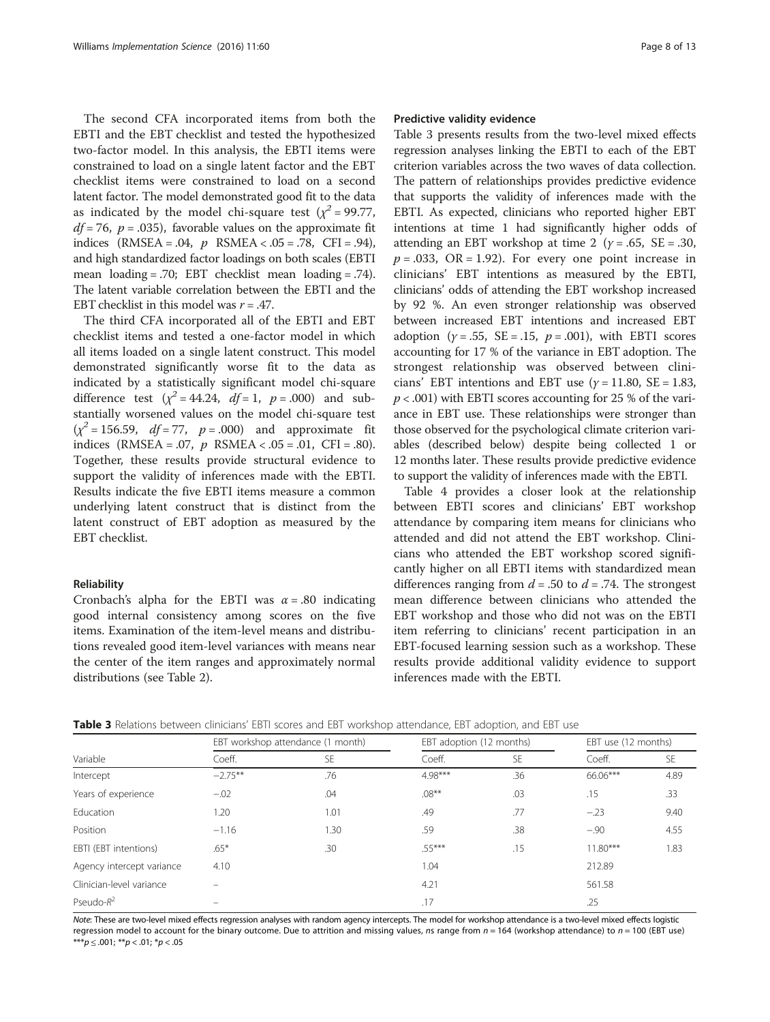The second CFA incorporated items from both the EBTI and the EBT checklist and tested the hypothesized two-factor model. In this analysis, the EBTI items were constrained to load on a single latent factor and the EBT checklist items were constrained to load on a second latent factor. The model demonstrated good fit to the data as indicated by the model chi-square test ( $\chi^2$  = 99.77,  $df = 76$ ,  $p = .035$ ), favorable values on the approximate fit indices  $(RMSEA = .04, p RSMEA < .05 = .78, CFI = .94)$ , and high standardized factor loadings on both scales (EBTI mean loading = .70; EBT checklist mean loading = .74). The latent variable correlation between the EBTI and the EBT checklist in this model was  $r = .47$ .

The third CFA incorporated all of the EBTI and EBT checklist items and tested a one-factor model in which all items loaded on a single latent construct. This model demonstrated significantly worse fit to the data as indicated by a statistically significant model chi-square difference test  $(\chi^2 = 44.24, df = 1, p = .000)$  and substantially worsened values on the model chi-square test  $(\chi^2 = 156.59, df = 77, p = .000)$  and approximate fit indices (RMSEA = .07,  $p$  RSMEA < .05 = .01, CFI = .80). Together, these results provide structural evidence to support the validity of inferences made with the EBTI. Results indicate the five EBTI items measure a common underlying latent construct that is distinct from the latent construct of EBT adoption as measured by the EBT checklist.

#### **Reliability**

Cronbach's alpha for the EBTI was  $\alpha = .80$  indicating good internal consistency among scores on the five items. Examination of the item-level means and distributions revealed good item-level variances with means near the center of the item ranges and approximately normal distributions (see Table [2](#page-5-0)).

## Predictive validity evidence

Table 3 presents results from the two-level mixed effects regression analyses linking the EBTI to each of the EBT criterion variables across the two waves of data collection. The pattern of relationships provides predictive evidence that supports the validity of inferences made with the EBTI. As expected, clinicians who reported higher EBT intentions at time 1 had significantly higher odds of attending an EBT workshop at time 2 ( $\gamma$  = .65, SE = .30,  $p = .033$ , OR = 1.92). For every one point increase in clinicians' EBT intentions as measured by the EBTI, clinicians' odds of attending the EBT workshop increased by 92 %. An even stronger relationship was observed between increased EBT intentions and increased EBT adoption ( $\gamma = .55$ , SE = .15,  $p = .001$ ), with EBTI scores accounting for 17 % of the variance in EBT adoption. The strongest relationship was observed between clinicians' EBT intentions and EBT use ( $\gamma$  = 11.80, SE = 1.83,  $p < .001$ ) with EBTI scores accounting for 25 % of the variance in EBT use. These relationships were stronger than those observed for the psychological climate criterion variables (described below) despite being collected 1 or 12 months later. These results provide predictive evidence to support the validity of inferences made with the EBTI.

Table [4](#page-8-0) provides a closer look at the relationship between EBTI scores and clinicians' EBT workshop attendance by comparing item means for clinicians who attended and did not attend the EBT workshop. Clinicians who attended the EBT workshop scored significantly higher on all EBTI items with standardized mean differences ranging from  $d = .50$  to  $d = .74$ . The strongest mean difference between clinicians who attended the EBT workshop and those who did not was on the EBTI item referring to clinicians' recent participation in an EBT-focused learning session such as a workshop. These results provide additional validity evidence to support inferences made with the EBTI.

| <b>Table 3</b> Relations between clinicians' EBTI scores and EBT workshop attendance, EBT adoption, and EBT use |  |  |  |
|-----------------------------------------------------------------------------------------------------------------|--|--|--|
|-----------------------------------------------------------------------------------------------------------------|--|--|--|

| Variable                  | EBT workshop attendance (1 month) |           | EBT adoption (12 months) |           | EBT use (12 months) |           |
|---------------------------|-----------------------------------|-----------|--------------------------|-----------|---------------------|-----------|
|                           | Coeff.                            | <b>SE</b> | Coeff.                   | <b>SE</b> | Coeff.              | <b>SE</b> |
| Intercept                 | $-2.75***$                        | .76       | $4.98***$                | .36       | 66.06***            | 4.89      |
| Years of experience       | $-.02$                            | .04       | $.08***$                 | .03       | .15                 | .33       |
| Education                 | 1.20                              | 1.01      | .49                      | .77       | $-.23$              | 9.40      |
| Position                  | $-1.16$                           | .30       | .59                      | .38       | $-.90$              | 4.55      |
| EBTI (EBT intentions)     | $.65*$                            | .30       | $.55***$                 | .15       | $11.80***$          | 1.83      |
| Agency intercept variance | 4.10                              |           | 1.04                     |           | 212.89              |           |
| Clinician-level variance  |                                   |           | 4.21                     |           | 561.58              |           |
| Pseudo- $R^2$             |                                   |           | .17                      |           | .25                 |           |

Note: These are two-level mixed effects regression analyses with random agency intercepts. The model for workshop attendance is a two-level mixed effects logistic regression model to account for the binary outcome. Due to attrition and missing values, ns range from  $n = 164$  (workshop attendance) to  $n = 100$  (EBT use) \*\*\* $p \le .001$ ; \*\* $p < .01$ ; \* $p < .05$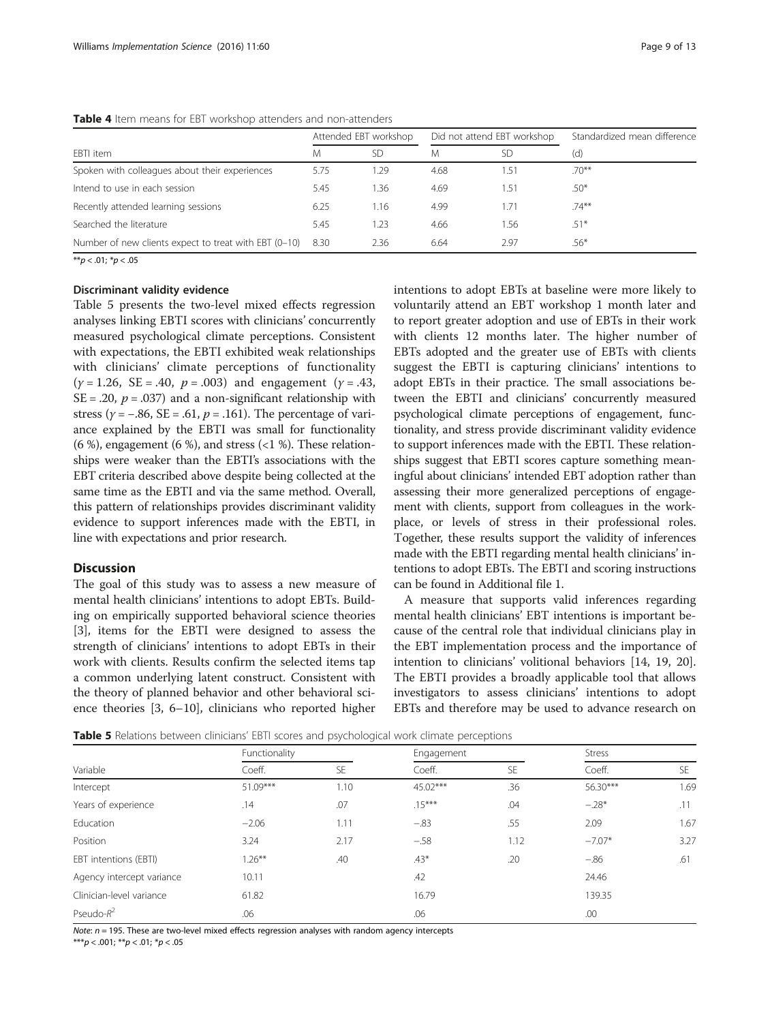#### <span id="page-8-0"></span>Table 4 Item means for EBT workshop attenders and non-attenders

|                                                       | Attended EBT workshop |      | Did not attend EBT workshop |           | Standardized mean difference |  |
|-------------------------------------------------------|-----------------------|------|-----------------------------|-----------|------------------------------|--|
| EBTI item                                             | M                     | SD   | M                           | <b>SD</b> | (d)                          |  |
| Spoken with colleagues about their experiences        | 5.75                  | 1.29 | 4.68                        | 1.51      | $.70***$                     |  |
| Intend to use in each session                         | 5.45                  | 1.36 | 4.69                        | 1.51      | $.50*$                       |  |
| Recently attended learning sessions                   | 6.25                  | 1.16 | 4.99                        | 1.71      | $.74***$                     |  |
| Searched the literature                               | 5.45                  | 1.23 | 4.66                        | 1.56      | $.51*$                       |  |
| Number of new clients expect to treat with EBT (0-10) | 8.30                  | 2.36 | 6.64                        | 2.97      | $.56*$                       |  |

\*\* $p < .01$ ; \* $p < .05$ 

## Discriminant validity evidence

Table 5 presents the two-level mixed effects regression analyses linking EBTI scores with clinicians' concurrently measured psychological climate perceptions. Consistent with expectations, the EBTI exhibited weak relationships with clinicians' climate perceptions of functionality  $(y = 1.26, \text{SE} = .40, p = .003)$  and engagement  $(y = .43,$  $SE = .20$ ,  $p = .037$ ) and a non-significant relationship with stress ( $\gamma$  = -.86, SE = .61,  $p$  = .161). The percentage of variance explained by the EBTI was small for functionality  $(6 \%)$ , engagement  $(6 \%)$ , and stress  $(1 \%)$ . These relationships were weaker than the EBTI's associations with the EBT criteria described above despite being collected at the same time as the EBTI and via the same method. Overall, this pattern of relationships provides discriminant validity evidence to support inferences made with the EBTI, in line with expectations and prior research.

#### **Discussion**

The goal of this study was to assess a new measure of mental health clinicians' intentions to adopt EBTs. Building on empirically supported behavioral science theories [[3\]](#page-11-0), items for the EBTI were designed to assess the strength of clinicians' intentions to adopt EBTs in their work with clients. Results confirm the selected items tap a common underlying latent construct. Consistent with the theory of planned behavior and other behavioral science theories [[3](#page-11-0), [6](#page-11-0)–[10\]](#page-11-0), clinicians who reported higher intentions to adopt EBTs at baseline were more likely to voluntarily attend an EBT workshop 1 month later and to report greater adoption and use of EBTs in their work with clients 12 months later. The higher number of EBTs adopted and the greater use of EBTs with clients suggest the EBTI is capturing clinicians' intentions to adopt EBTs in their practice. The small associations between the EBTI and clinicians' concurrently measured psychological climate perceptions of engagement, functionality, and stress provide discriminant validity evidence to support inferences made with the EBTI. These relationships suggest that EBTI scores capture something meaningful about clinicians' intended EBT adoption rather than assessing their more generalized perceptions of engagement with clients, support from colleagues in the workplace, or levels of stress in their professional roles. Together, these results support the validity of inferences made with the EBTI regarding mental health clinicians' intentions to adopt EBTs. The EBTI and scoring instructions can be found in Additional file [1](#page-11-0).

A measure that supports valid inferences regarding mental health clinicians' EBT intentions is important because of the central role that individual clinicians play in the EBT implementation process and the importance of intention to clinicians' volitional behaviors [\[14, 19](#page-11-0), [20](#page-11-0)]. The EBTI provides a broadly applicable tool that allows investigators to assess clinicians' intentions to adopt EBTs and therefore may be used to advance research on

**Table 5** Relations between clinicians' EBTI scores and psychological work climate perceptions

| Variable                  | Functionality |      | Engagement |           | <b>Stress</b> |           |
|---------------------------|---------------|------|------------|-----------|---------------|-----------|
|                           | Coeff.        | SE.  | Coeff.     | <b>SE</b> | Coeff.        | <b>SE</b> |
| Intercept                 | $51.09***$    | 1.10 | 45.02***   | .36       | 56.30***      | 1.69      |
| Years of experience       | .14           | .07  | $.15***$   | .04       | $-.28*$       | .11       |
| <b>Education</b>          | $-2.06$       | 1.11 | $-.83$     | .55       | 2.09          | 1.67      |
| Position                  | 3.24          | 2.17 | $-.58$     | 1.12      | $-7.07*$      | 3.27      |
| EBT intentions (EBTI)     | $1.26***$     | .40  | $.43*$     | .20       | $-.86$        | .61       |
| Agency intercept variance | 10.11         |      | .42        |           | 24.46         |           |
| Clinician-level variance  | 61.82         |      | 16.79      |           | 139.35        |           |
| Pseudo- $R^2$             | .06           |      | .06        |           | .00           |           |

Note:  $n = 195$ . These are two-level mixed effects regression analyses with random agency intercepts

\*\*\* $p < .001;$  \*\* $p < .01;$  \* $p < .05$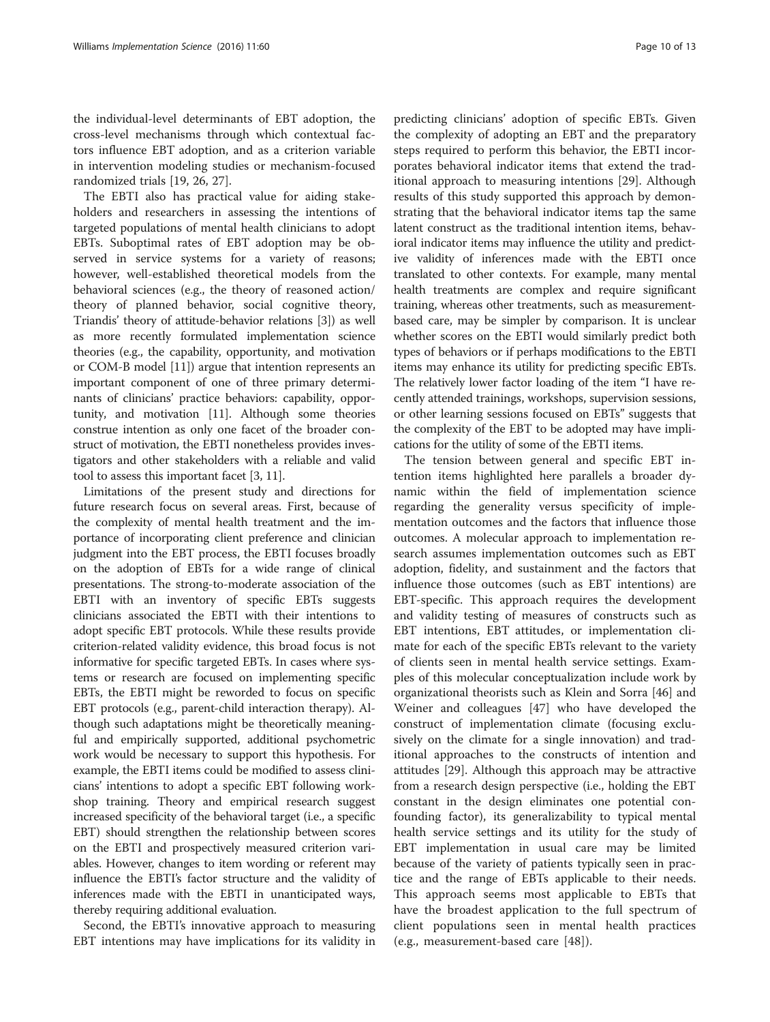the individual-level determinants of EBT adoption, the cross-level mechanisms through which contextual factors influence EBT adoption, and as a criterion variable in intervention modeling studies or mechanism-focused randomized trials [\[19](#page-11-0), [26](#page-11-0), [27\]](#page-11-0).

The EBTI also has practical value for aiding stakeholders and researchers in assessing the intentions of targeted populations of mental health clinicians to adopt EBTs. Suboptimal rates of EBT adoption may be observed in service systems for a variety of reasons; however, well-established theoretical models from the behavioral sciences (e.g., the theory of reasoned action/ theory of planned behavior, social cognitive theory, Triandis' theory of attitude-behavior relations [\[3](#page-11-0)]) as well as more recently formulated implementation science theories (e.g., the capability, opportunity, and motivation or COM-B model [[11](#page-11-0)]) argue that intention represents an important component of one of three primary determinants of clinicians' practice behaviors: capability, opportunity, and motivation [\[11\]](#page-11-0). Although some theories construe intention as only one facet of the broader construct of motivation, the EBTI nonetheless provides investigators and other stakeholders with a reliable and valid tool to assess this important facet [\[3](#page-11-0), [11](#page-11-0)].

Limitations of the present study and directions for future research focus on several areas. First, because of the complexity of mental health treatment and the importance of incorporating client preference and clinician judgment into the EBT process, the EBTI focuses broadly on the adoption of EBTs for a wide range of clinical presentations. The strong-to-moderate association of the EBTI with an inventory of specific EBTs suggests clinicians associated the EBTI with their intentions to adopt specific EBT protocols. While these results provide criterion-related validity evidence, this broad focus is not informative for specific targeted EBTs. In cases where systems or research are focused on implementing specific EBTs, the EBTI might be reworded to focus on specific EBT protocols (e.g., parent-child interaction therapy). Although such adaptations might be theoretically meaningful and empirically supported, additional psychometric work would be necessary to support this hypothesis. For example, the EBTI items could be modified to assess clinicians' intentions to adopt a specific EBT following workshop training. Theory and empirical research suggest increased specificity of the behavioral target (i.e., a specific EBT) should strengthen the relationship between scores on the EBTI and prospectively measured criterion variables. However, changes to item wording or referent may influence the EBTI's factor structure and the validity of inferences made with the EBTI in unanticipated ways, thereby requiring additional evaluation.

Second, the EBTI's innovative approach to measuring EBT intentions may have implications for its validity in

predicting clinicians' adoption of specific EBTs. Given the complexity of adopting an EBT and the preparatory steps required to perform this behavior, the EBTI incorporates behavioral indicator items that extend the traditional approach to measuring intentions [\[29](#page-11-0)]. Although results of this study supported this approach by demonstrating that the behavioral indicator items tap the same latent construct as the traditional intention items, behavioral indicator items may influence the utility and predictive validity of inferences made with the EBTI once translated to other contexts. For example, many mental health treatments are complex and require significant training, whereas other treatments, such as measurementbased care, may be simpler by comparison. It is unclear whether scores on the EBTI would similarly predict both types of behaviors or if perhaps modifications to the EBTI items may enhance its utility for predicting specific EBTs. The relatively lower factor loading of the item "I have recently attended trainings, workshops, supervision sessions, or other learning sessions focused on EBTs" suggests that the complexity of the EBT to be adopted may have implications for the utility of some of the EBTI items.

The tension between general and specific EBT intention items highlighted here parallels a broader dynamic within the field of implementation science regarding the generality versus specificity of implementation outcomes and the factors that influence those outcomes. A molecular approach to implementation research assumes implementation outcomes such as EBT adoption, fidelity, and sustainment and the factors that influence those outcomes (such as EBT intentions) are EBT-specific. This approach requires the development and validity testing of measures of constructs such as EBT intentions, EBT attitudes, or implementation climate for each of the specific EBTs relevant to the variety of clients seen in mental health service settings. Examples of this molecular conceptualization include work by organizational theorists such as Klein and Sorra [[46](#page-12-0)] and Weiner and colleagues [\[47](#page-12-0)] who have developed the construct of implementation climate (focusing exclusively on the climate for a single innovation) and traditional approaches to the constructs of intention and attitudes [[29](#page-11-0)]. Although this approach may be attractive from a research design perspective (i.e., holding the EBT constant in the design eliminates one potential confounding factor), its generalizability to typical mental health service settings and its utility for the study of EBT implementation in usual care may be limited because of the variety of patients typically seen in practice and the range of EBTs applicable to their needs. This approach seems most applicable to EBTs that have the broadest application to the full spectrum of client populations seen in mental health practices (e.g., measurement-based care [[48\]](#page-12-0)).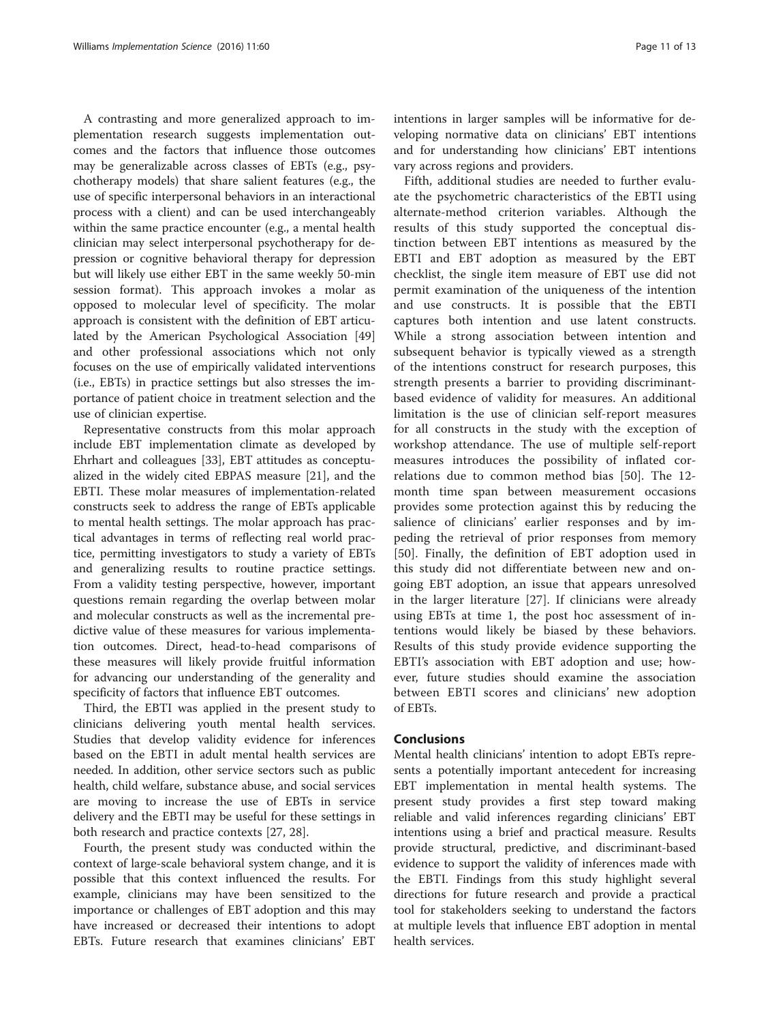A contrasting and more generalized approach to implementation research suggests implementation outcomes and the factors that influence those outcomes may be generalizable across classes of EBTs (e.g., psychotherapy models) that share salient features (e.g., the use of specific interpersonal behaviors in an interactional process with a client) and can be used interchangeably within the same practice encounter (e.g., a mental health clinician may select interpersonal psychotherapy for depression or cognitive behavioral therapy for depression but will likely use either EBT in the same weekly 50-min session format). This approach invokes a molar as opposed to molecular level of specificity. The molar approach is consistent with the definition of EBT articulated by the American Psychological Association [[49](#page-12-0)] and other professional associations which not only focuses on the use of empirically validated interventions (i.e., EBTs) in practice settings but also stresses the importance of patient choice in treatment selection and the use of clinician expertise.

Representative constructs from this molar approach include EBT implementation climate as developed by Ehrhart and colleagues [[33\]](#page-11-0), EBT attitudes as conceptualized in the widely cited EBPAS measure [[21\]](#page-11-0), and the EBTI. These molar measures of implementation-related constructs seek to address the range of EBTs applicable to mental health settings. The molar approach has practical advantages in terms of reflecting real world practice, permitting investigators to study a variety of EBTs and generalizing results to routine practice settings. From a validity testing perspective, however, important questions remain regarding the overlap between molar and molecular constructs as well as the incremental predictive value of these measures for various implementation outcomes. Direct, head-to-head comparisons of these measures will likely provide fruitful information for advancing our understanding of the generality and specificity of factors that influence EBT outcomes.

Third, the EBTI was applied in the present study to clinicians delivering youth mental health services. Studies that develop validity evidence for inferences based on the EBTI in adult mental health services are needed. In addition, other service sectors such as public health, child welfare, substance abuse, and social services are moving to increase the use of EBTs in service delivery and the EBTI may be useful for these settings in both research and practice contexts [\[27, 28\]](#page-11-0).

Fourth, the present study was conducted within the context of large-scale behavioral system change, and it is possible that this context influenced the results. For example, clinicians may have been sensitized to the importance or challenges of EBT adoption and this may have increased or decreased their intentions to adopt EBTs. Future research that examines clinicians' EBT

intentions in larger samples will be informative for developing normative data on clinicians' EBT intentions and for understanding how clinicians' EBT intentions vary across regions and providers.

Fifth, additional studies are needed to further evaluate the psychometric characteristics of the EBTI using alternate-method criterion variables. Although the results of this study supported the conceptual distinction between EBT intentions as measured by the EBTI and EBT adoption as measured by the EBT checklist, the single item measure of EBT use did not permit examination of the uniqueness of the intention and use constructs. It is possible that the EBTI captures both intention and use latent constructs. While a strong association between intention and subsequent behavior is typically viewed as a strength of the intentions construct for research purposes, this strength presents a barrier to providing discriminantbased evidence of validity for measures. An additional limitation is the use of clinician self-report measures for all constructs in the study with the exception of workshop attendance. The use of multiple self-report measures introduces the possibility of inflated correlations due to common method bias [[50](#page-12-0)]. The 12 month time span between measurement occasions provides some protection against this by reducing the salience of clinicians' earlier responses and by impeding the retrieval of prior responses from memory [[50\]](#page-12-0). Finally, the definition of EBT adoption used in this study did not differentiate between new and ongoing EBT adoption, an issue that appears unresolved in the larger literature [[27\]](#page-11-0). If clinicians were already using EBTs at time 1, the post hoc assessment of intentions would likely be biased by these behaviors. Results of this study provide evidence supporting the EBTI's association with EBT adoption and use; however, future studies should examine the association between EBTI scores and clinicians' new adoption of EBTs.

## Conclusions

Mental health clinicians' intention to adopt EBTs represents a potentially important antecedent for increasing EBT implementation in mental health systems. The present study provides a first step toward making reliable and valid inferences regarding clinicians' EBT intentions using a brief and practical measure. Results provide structural, predictive, and discriminant-based evidence to support the validity of inferences made with the EBTI. Findings from this study highlight several directions for future research and provide a practical tool for stakeholders seeking to understand the factors at multiple levels that influence EBT adoption in mental health services.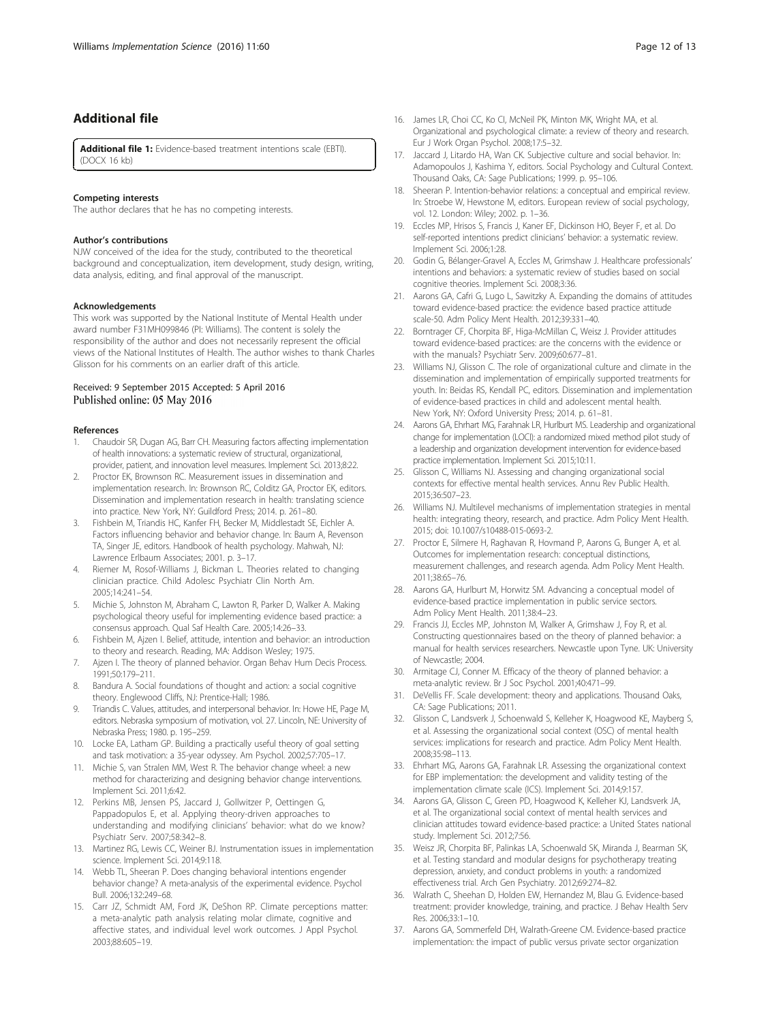## <span id="page-11-0"></span>Additional file

[Additional file 1:](dx.doi.org/10.1186/s13012-016-0417-3) Evidence-based treatment intentions scale (EBTI). (DOCX 16 kb)

#### Competing interests

The author declares that he has no competing interests.

#### Author's contributions

NJW conceived of the idea for the study, contributed to the theoretical background and conceptualization, item development, study design, writing, data analysis, editing, and final approval of the manuscript.

#### Acknowledgements

This work was supported by the National Institute of Mental Health under award number F31MH099846 (PI: Williams). The content is solely the responsibility of the author and does not necessarily represent the official views of the National Institutes of Health. The author wishes to thank Charles Glisson for his comments on an earlier draft of this article.

#### Received: 9 September 2015 Accepted: 5 April 2016 Published online: 05 May 2016

#### References

- 1. Chaudoir SR, Dugan AG, Barr CH. Measuring factors affecting implementation of health innovations: a systematic review of structural, organizational, provider, patient, and innovation level measures. Implement Sci. 2013;8:22.
- 2. Proctor EK, Brownson RC. Measurement issues in dissemination and implementation research. In: Brownson RC, Colditz GA, Proctor EK, editors. Dissemination and implementation research in health: translating science into practice. New York, NY: Guildford Press; 2014. p. 261–80.
- 3. Fishbein M, Triandis HC, Kanfer FH, Becker M, Middlestadt SE, Eichler A. Factors influencing behavior and behavior change. In: Baum A, Revenson TA, Singer JE, editors. Handbook of health psychology. Mahwah, NJ: Lawrence Erlbaum Associates; 2001. p. 3–17.
- 4. Riemer M, Rosof-Williams J, Bickman L. Theories related to changing clinician practice. Child Adolesc Psychiatr Clin North Am. 2005;14:241–54.
- 5. Michie S, Johnston M, Abraham C, Lawton R, Parker D, Walker A. Making psychological theory useful for implementing evidence based practice: a consensus approach. Qual Saf Health Care. 2005;14:26–33.
- 6. Fishbein M, Ajzen I. Belief, attitude, intention and behavior: an introduction to theory and research. Reading, MA: Addison Wesley; 1975.
- 7. Ajzen I. The theory of planned behavior. Organ Behav Hum Decis Process. 1991;50:179–211.
- 8. Bandura A. Social foundations of thought and action: a social cognitive theory. Englewood Cliffs, NJ: Prentice-Hall; 1986.
- 9. Triandis C. Values, attitudes, and interpersonal behavior. In: Howe HE, Page M, editors. Nebraska symposium of motivation, vol. 27. Lincoln, NE: University of Nebraska Press; 1980. p. 195–259.
- 10. Locke EA, Latham GP. Building a practically useful theory of goal setting and task motivation: a 35-year odyssey. Am Psychol. 2002;57:705–17.
- 11. Michie S, van Stralen MM, West R. The behavior change wheel: a new method for characterizing and designing behavior change interventions. Implement Sci. 2011;6:42.
- 12. Perkins MB, Jensen PS, Jaccard J, Gollwitzer P, Oettingen G, Pappadopulos E, et al. Applying theory-driven approaches to understanding and modifying clinicians' behavior: what do we know? Psychiatr Serv. 2007;58:342–8.
- 13. Martinez RG, Lewis CC, Weiner BJ. Instrumentation issues in implementation science. Implement Sci. 2014;9:118.
- 14. Webb TL, Sheeran P. Does changing behavioral intentions engender behavior change? A meta-analysis of the experimental evidence. Psychol Bull. 2006;132:249–68.
- 15. Carr JZ, Schmidt AM, Ford JK, DeShon RP. Climate perceptions matter: a meta-analytic path analysis relating molar climate, cognitive and affective states, and individual level work outcomes. J Appl Psychol. 2003;88:605–19.
- 16. James LR, Choi CC, Ko CI, McNeil PK, Minton MK, Wright MA, et al. Organizational and psychological climate: a review of theory and research. Eur J Work Organ Psychol. 2008;17:5–32.
- 17. Jaccard J, Litardo HA, Wan CK. Subjective culture and social behavior. In: Adamopoulos J, Kashima Y, editors. Social Psychology and Cultural Context. Thousand Oaks, CA: Sage Publications; 1999. p. 95–106.
- 18. Sheeran P. Intention-behavior relations: a conceptual and empirical review. In: Stroebe W, Hewstone M, editors. European review of social psychology, vol. 12. London: Wiley; 2002. p. 1–36.
- 19. Eccles MP, Hrisos S, Francis J, Kaner EF, Dickinson HO, Beyer F, et al. Do self-reported intentions predict clinicians' behavior: a systematic review. Implement Sci. 2006;1:28.
- 20. Godin G, Bélanger-Gravel A, Eccles M, Grimshaw J. Healthcare professionals' intentions and behaviors: a systematic review of studies based on social cognitive theories. Implement Sci. 2008;3:36.
- 21. Aarons GA, Cafri G, Lugo L, Sawitzky A. Expanding the domains of attitudes toward evidence-based practice: the evidence based practice attitude scale-50. Adm Policy Ment Health. 2012;39:331–40.
- 22. Borntrager CF, Chorpita BF, Higa-McMillan C, Weisz J. Provider attitudes toward evidence-based practices: are the concerns with the evidence or with the manuals? Psychiatr Serv. 2009;60:677–81.
- 23. Williams NJ, Glisson C. The role of organizational culture and climate in the dissemination and implementation of empirically supported treatments for youth. In: Beidas RS, Kendall PC, editors. Dissemination and implementation of evidence-based practices in child and adolescent mental health. New York, NY: Oxford University Press; 2014. p. 61–81.
- 24. Aarons GA, Ehrhart MG, Farahnak LR, Hurlburt MS. Leadership and organizational change for implementation (LOCI): a randomized mixed method pilot study of a leadership and organization development intervention for evidence-based practice implementation. Implement Sci. 2015;10:11.
- 25. Glisson C, Williams NJ. Assessing and changing organizational social contexts for effective mental health services. Annu Rev Public Health. 2015;36:507–23.
- 26. Williams NJ. Multilevel mechanisms of implementation strategies in mental health: integrating theory, research, and practice. Adm Policy Ment Health. 2015; doi: [10.1007/s10488-015-0693-2](http://dx.doi.org/10.1007/s10488-015-0693-2).
- 27. Proctor E, Silmere H, Raghavan R, Hovmand P, Aarons G, Bunger A, et al. Outcomes for implementation research: conceptual distinctions, measurement challenges, and research agenda. Adm Policy Ment Health. 2011;38:65–76.
- 28. Aarons GA, Hurlburt M, Horwitz SM. Advancing a conceptual model of evidence-based practice implementation in public service sectors. Adm Policy Ment Health. 2011;38:4–23.
- 29. Francis JJ, Eccles MP, Johnston M, Walker A, Grimshaw J, Foy R, et al. Constructing questionnaires based on the theory of planned behavior: a manual for health services researchers. Newcastle upon Tyne. UK: University of Newcastle; 2004.
- 30. Armitage CJ, Conner M. Efficacy of the theory of planned behavior: a meta-analytic review. Br J Soc Psychol. 2001;40:471–99.
- 31. DeVellis FF. Scale development: theory and applications. Thousand Oaks, CA: Sage Publications; 2011.
- 32. Glisson C, Landsverk J, Schoenwald S, Kelleher K, Hoagwood KE, Mayberg S, et al. Assessing the organizational social context (OSC) of mental health services: implications for research and practice. Adm Policy Ment Health. 2008;35:98–113.
- 33. Ehrhart MG, Aarons GA, Farahnak LR. Assessing the organizational context for EBP implementation: the development and validity testing of the implementation climate scale (ICS). Implement Sci. 2014;9:157.
- 34. Aarons GA, Glisson C, Green PD, Hoagwood K, Kelleher KJ, Landsverk JA, et al. The organizational social context of mental health services and clinician attitudes toward evidence-based practice: a United States national study. Implement Sci. 2012;7:56.
- 35. Weisz JR, Chorpita BF, Palinkas LA, Schoenwald SK, Miranda J, Bearman SK, et al. Testing standard and modular designs for psychotherapy treating depression, anxiety, and conduct problems in youth: a randomized effectiveness trial. Arch Gen Psychiatry. 2012;69:274–82.
- 36. Walrath C, Sheehan D, Holden EW, Hernandez M, Blau G. Evidence-based treatment: provider knowledge, training, and practice. J Behav Health Serv Res. 2006;33:1–10.
- 37. Aarons GA, Sommerfeld DH, Walrath-Greene CM. Evidence-based practice implementation: the impact of public versus private sector organization